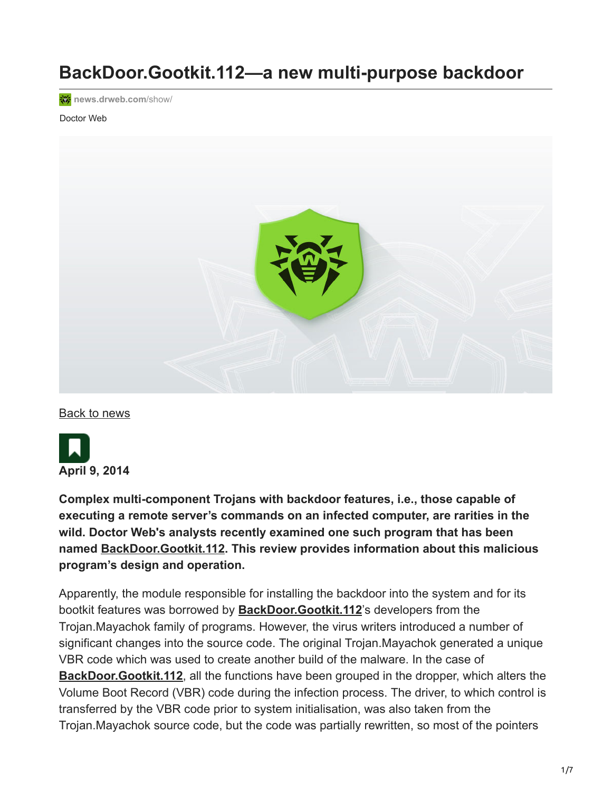## **BackDoor.Gootkit.112—a new multi-purpose backdoor**

**<sup>o</sup>** [news.drweb.com](https://news.drweb.com/show/?i=4338&lng=en)/show/

## Doctor Web



[Back to news](https://news.drweb.com/list/?p=0&lng=en&c=5)



**Complex multi-component Trojans with backdoor features, i.e., those capable of executing a remote server's commands on an infected computer, are rarities in the wild. Doctor Web's analysts recently examined one such program that has been named [BackDoor.Gootkit.112](https://vms.drweb.com/search/?q=BackDoor.Gootkit.112&lng=en). This review provides information about this malicious program's design and operation.**

Apparently, the module responsible for installing the backdoor into the system and for its bootkit features was borrowed by **[BackDoor.Gootkit.112](https://vms.drweb.com/search/?q=BackDoor.Gootkit.112&lng=en)**'s developers from the Trojan.Mayachok family of programs. However, the virus writers introduced a number of significant changes into the source code. The original Trojan.Mayachok generated a unique VBR code which was used to create another build of the malware. In the case of **[BackDoor.Gootkit.112](https://vms.drweb.com/search/?q=BackDoor.Gootkit.112&lng=en)**, all the functions have been grouped in the dropper, which alters the Volume Boot Record (VBR) code during the infection process. The driver, to which control is transferred by the VBR code prior to system initialisation, was also taken from the Trojan.Mayachok source code, but the code was partially rewritten, so most of the pointers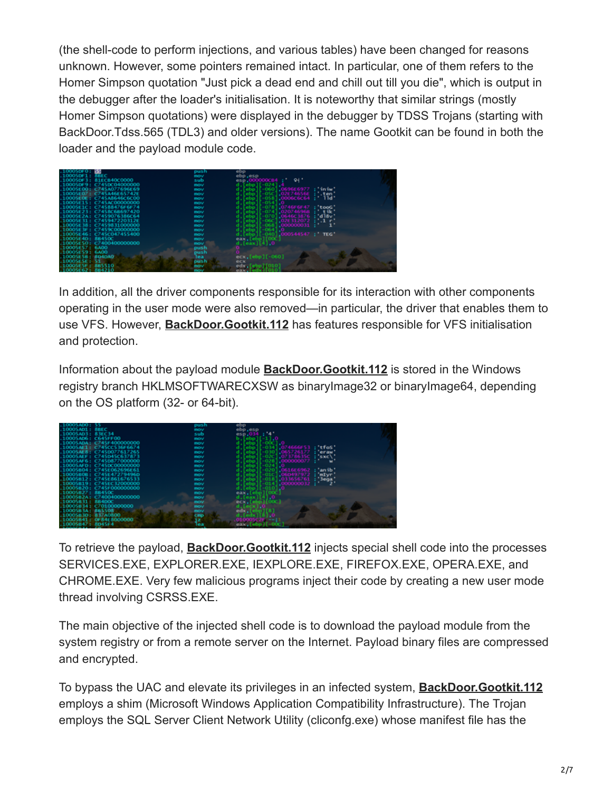(the shell-code to perform injections, and various tables) have been changed for reasons unknown. However, some pointers remained intact. In particular, one of them refers to the Homer Simpson quotation "Just pick a dead end and chill out till you die", which is output in the debugger after the loader's initialisation. It is noteworthy that similar strings (mostly Homer Simpson quotations) were displayed in the debugger by TDSS Trojans (starting with BackDoor.Tdss.565 (TDL3) and older versions). The name Gootkit can be found in both the loader and the payload module code.



In addition, all the driver components responsible for its interaction with other components operating in the user mode were also removed—in particular, the driver that enables them to use VFS. However, **[BackDoor.Gootkit.112](https://vms.drweb.com/search/?q=BackDoor.Gootkit.112&lng=en)** has features responsible for VFS initialisation and protection.

Information about the payload module **[BackDoor.Gootkit.112](https://vms.drweb.com/search/?q=BackDoor.Gootkit.112&lng=en)** is stored in the Windows registry branch HKLMSOFTWARECXSW as binaryImage32 or binaryImage64, depending on the OS platform (32- or 64-bit).



To retrieve the payload, **[BackDoor.Gootkit.112](https://vms.drweb.com/search/?q=BackDoor.Gootkit.112&lng=en)** injects special shell code into the processes SERVICES.EXE, EXPLORER.EXE, IEXPLORE.EXE, FIREFOX.EXE, OPERA.EXE, and CHROME.EXE. Very few malicious programs inject their code by creating a new user mode thread involving CSRSS.EXE.

The main objective of the injected shell code is to download the payload module from the system registry or from a remote server on the Internet. Payload binary files are compressed and encrypted.

To bypass the UAC and elevate its privileges in an infected system, **[BackDoor.Gootkit.112](https://vms.drweb.com/search/?q=BackDoor.Gootkit.112&lng=en)** employs a shim (Microsoft Windows Application Compatibility Infrastructure). The Trojan employs the SQL Server Client Network Utility (cliconfg.exe) whose manifest file has the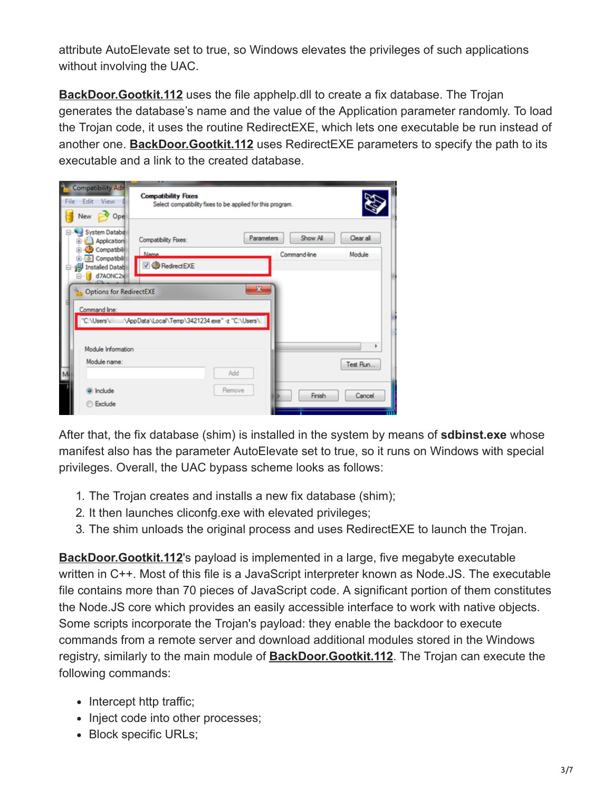attribute AutoElevate set to true, so Windows elevates the privileges of such applications without involving the UAC.

**[BackDoor.Gootkit.112](https://vms.drweb.com/search/?q=BackDoor.Gootkit.112&lng=en)** uses the file apphelp.dll to create a fix database. The Trojan generates the database's name and the value of the Application parameter randomly. To load the Trojan code, it uses the routine RedirectEXE, which lets one executable be run instead of another one. **[BackDoor.Gootkit.112](https://vms.drweb.com/search/?q=BackDoor.Gootkit.112&lng=en)** uses RedirectEXE parameters to specify the path to its executable and a link to the created database.

|                                                                                              | . .                                                                                      |            |                          |                     |
|----------------------------------------------------------------------------------------------|------------------------------------------------------------------------------------------|------------|--------------------------|---------------------|
| <b>Compatibility Adr</b><br>Edit View<br><b>File</b><br>New <b>P</b> Ope                     | <b>Compatibility Fixes</b><br>Select compatibility fixes to be applied for this program. |            |                          |                     |
| System Databa<br>Application<br>Compatibili<br>Compatibili                                   | Compatibility Fixes:<br><b>Name</b>                                                      | Parameters | Show All<br>Command-line | Clear all<br>Module |
| RedrectEXE<br>Installed Datab<br>d7AONC2x<br>G) -<br>$\mathbf{x}$<br>Options for RedirectEXE |                                                                                          |            |                          |                     |
| Command line:<br>"C:\Users\                                                                  | NopData\Local\Temp\3421234.exe" <z "c:\users\<="" th=""><th></th><th></th><th></th></z>  |            |                          |                     |
| Module Information                                                                           |                                                                                          |            |                          | ۲                   |
| Module name:                                                                                 |                                                                                          | Add        |                          | Test Run            |
| i Include<br><b>Exclude</b>                                                                  |                                                                                          | Remove     | Finish                   | Cancel              |

After that, the fix database (shim) is installed in the system by means of **sdbinst.exe** whose manifest also has the parameter AutoElevate set to true, so it runs on Windows with special privileges. Overall, the UAC bypass scheme looks as follows:

- 1. The Trojan creates and installs a new fix database (shim);
- 2. It then launches cliconfg.exe with elevated privileges;
- 3. The shim unloads the original process and uses RedirectEXE to launch the Trojan.

**[BackDoor.Gootkit.112](https://vms.drweb.com/search/?q=BackDoor.Gootkit.112&lng=en)**'s payload is implemented in a large, five megabyte executable written in C++. Most of this file is a JavaScript interpreter known as Node.JS. The executable file contains more than 70 pieces of JavaScript code. A significant portion of them constitutes the Node.JS core which provides an easily accessible interface to work with native objects. Some scripts incorporate the Trojan's payload: they enable the backdoor to execute commands from a remote server and download additional modules stored in the Windows registry, similarly to the main module of **[BackDoor.Gootkit.112](https://vms.drweb.com/search/?q=BackDoor.Gootkit.112&lng=en)**. The Trojan can execute the following commands:

- Intercept http traffic;
- Inject code into other processes;
- Block specific URLs;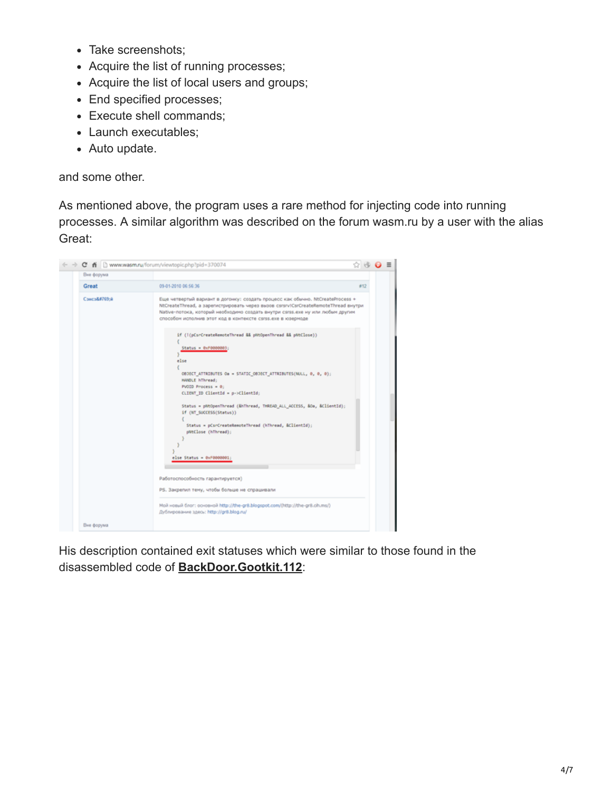- Take screenshots;
- Acquire the list of running processes;
- Acquire the list of local users and groups;
- End specified processes;
- Execute shell commands;
- Launch executables;
- Auto update.

and some other.

As mentioned above, the program uses a rare method for injecting code into running processes. A similar algorithm was described on the forum wasm.ru by a user with the alias Great:



His description contained exit statuses which were similar to those found in the disassembled code of **[BackDoor.Gootkit.112](https://vms.drweb.com/search/?q=BackDoor.Gootkit.112&lng=en)**: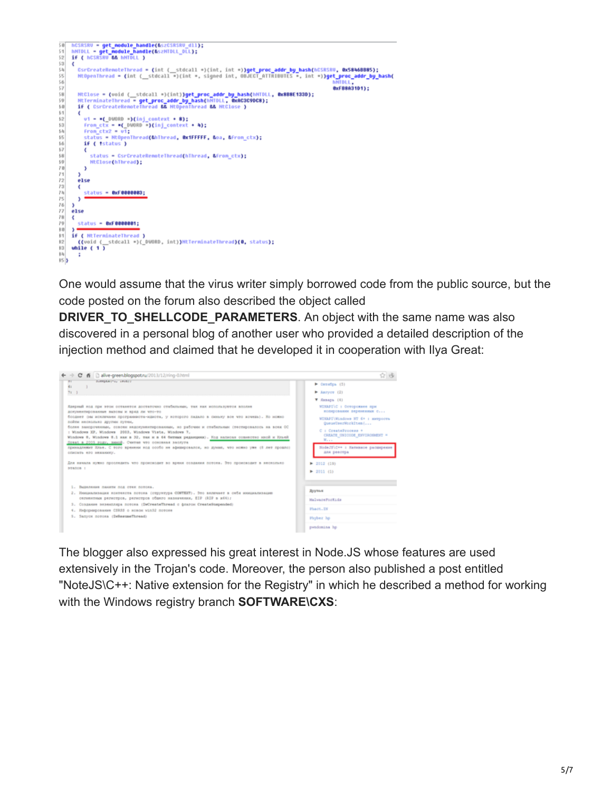

One would assume that the virus writer simply borrowed code from the public source, but the code posted on the forum also described the object called

**DRIVER\_TO\_SHELLCODE\_PARAMETERS**. An object with the same name was also discovered in a personal blog of another user who provided a detailed description of the injection method and claimed that he developed it in cooperation with Ilya Great:



The blogger also expressed his great interest in Node.JS whose features are used extensively in the Trojan's code. Moreover, the person also published a post entitled "NoteJS\C++: Native extension for the Registry" in which he described a method for working with the Windows registry branch **SOFTWARE\CXS**: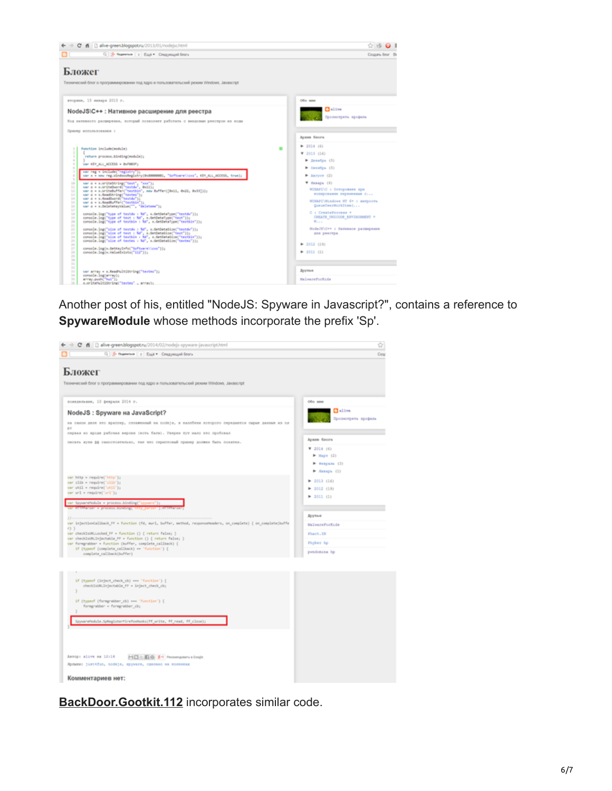

Another post of his, entitled "NodeJS: Spyware in Javascript?", contains a reference to **SpywareModule** whose methods incorporate the prefix 'Sp'.



**[BackDoor.Gootkit.112](https://vms.drweb.com/search/?q=BackDoor.Gootkit.112&lng=en)** incorporates similar code.